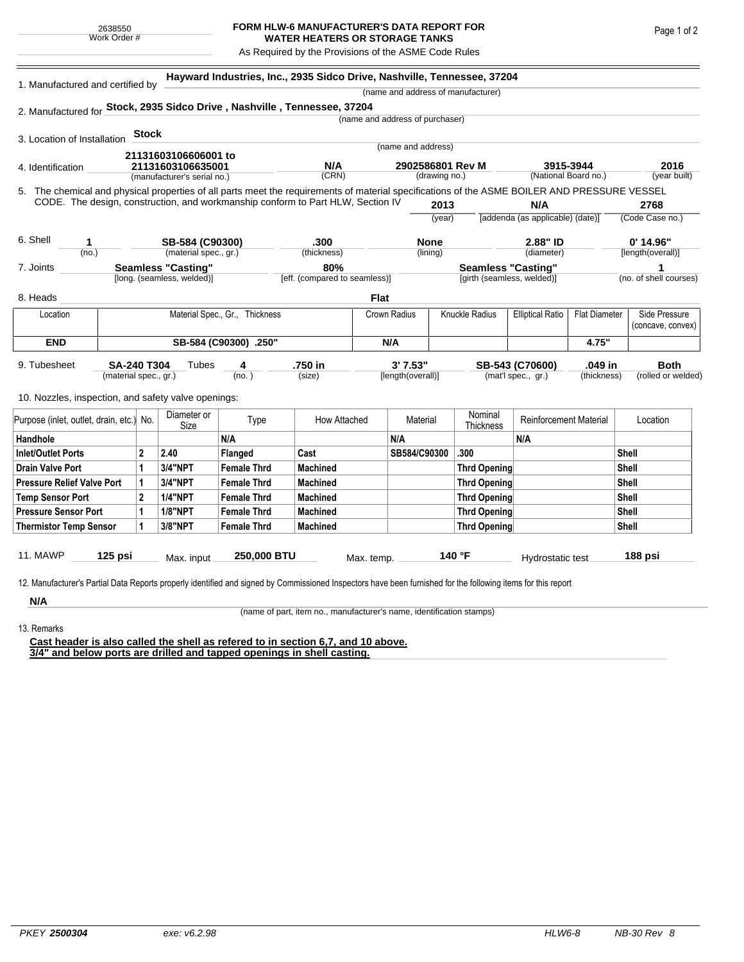## **FORM HLW-6 MANUFACTURER'S DATA REPORT FOR WATER HEATERS OR STORAGE TANKS**

As Required by the Provisions of the ASME Code Rules

| 1. Manufactured and certified by                                                                                                                                                                                                |                                                         |                                                  |                    | Hayward Industries, Inc., 2935 Sidco Drive, Nashville, Tennessee, 37204 |                               |                                 |                                   |                           |                                    |                                   |                                  |                        |
|---------------------------------------------------------------------------------------------------------------------------------------------------------------------------------------------------------------------------------|---------------------------------------------------------|--------------------------------------------------|--------------------|-------------------------------------------------------------------------|-------------------------------|---------------------------------|-----------------------------------|---------------------------|------------------------------------|-----------------------------------|----------------------------------|------------------------|
|                                                                                                                                                                                                                                 |                                                         |                                                  |                    |                                                                         |                               |                                 |                                   |                           | (name and address of manufacturer) |                                   |                                  |                        |
| 2. Manufactured for Stock, 2935 Sidco Drive, Nashville, Tennessee, 37204                                                                                                                                                        |                                                         |                                                  |                    |                                                                         |                               |                                 |                                   |                           |                                    |                                   |                                  |                        |
|                                                                                                                                                                                                                                 |                                                         |                                                  |                    |                                                                         |                               | (name and address of purchaser) |                                   |                           |                                    |                                   |                                  |                        |
| 3. Location of Installation                                                                                                                                                                                                     |                                                         | <b>Stock</b>                                     |                    |                                                                         |                               |                                 |                                   |                           |                                    |                                   |                                  |                        |
| 21131603106606001 to                                                                                                                                                                                                            |                                                         |                                                  |                    |                                                                         | (name and address)            |                                 |                                   |                           |                                    |                                   |                                  |                        |
| 4. Identification                                                                                                                                                                                                               |                                                         | 21131603106635001<br>(manufacturer's serial no.) |                    |                                                                         | N/A<br>(CRN)                  |                                 | 2902586801 Rev M<br>(drawing no.) |                           |                                    | 3915-3944<br>(National Board no.) |                                  | 2016<br>(year built)   |
|                                                                                                                                                                                                                                 |                                                         |                                                  |                    |                                                                         |                               |                                 |                                   |                           |                                    |                                   |                                  |                        |
| 5. The chemical and physical properties of all parts meet the requirements of material specifications of the ASME BOILER AND PRESSURE VESSEL<br>CODE. The design, construction, and workmanship conform to Part HLW, Section IV |                                                         |                                                  |                    |                                                                         |                               |                                 | 2013                              |                           |                                    | N/A                               |                                  | 2768                   |
|                                                                                                                                                                                                                                 |                                                         |                                                  |                    |                                                                         |                               |                                 | (year)                            |                           |                                    | [addenda (as applicable) (date)]  |                                  | (Code Case no.)        |
|                                                                                                                                                                                                                                 |                                                         |                                                  |                    |                                                                         |                               |                                 |                                   |                           |                                    |                                   |                                  |                        |
| 6. Shell<br>SB-584 (C90300)<br>1<br>(material spec., gr.)<br>(no.)                                                                                                                                                              |                                                         |                                                  |                    | .300<br>(thickness)                                                     |                               | <b>None</b><br>(lining)         |                                   |                           | 2.88" ID<br>(diameter)             |                                   | $0'$ 14.96"<br>[length(overall)] |                        |
| 7. Joints                                                                                                                                                                                                                       |                                                         |                                                  |                    |                                                                         | 80%                           |                                 |                                   | <b>Seamless "Casting"</b> |                                    |                                   |                                  |                        |
|                                                                                                                                                                                                                                 | <b>Seamless "Casting"</b><br>[long. (seamless, welded)] |                                                  |                    |                                                                         | [eff. (compared to seamless)] |                                 |                                   |                           |                                    | [girth (seamless, welded)]        |                                  | (no. of shell courses) |
| 8. Heads                                                                                                                                                                                                                        |                                                         |                                                  |                    |                                                                         |                               | <b>Flat</b>                     |                                   |                           |                                    |                                   |                                  |                        |
| Material Spec., Gr., Thickness<br>Location                                                                                                                                                                                      |                                                         |                                                  |                    | Crown Radius                                                            |                               | Knuckle Radius                  |                                   | <b>Elliptical Ratio</b>   | <b>Flat Diameter</b>               | Side Pressure                     |                                  |                        |
|                                                                                                                                                                                                                                 |                                                         |                                                  |                    |                                                                         |                               |                                 |                                   |                           |                                    |                                   |                                  | (concave, convex)      |
| <b>END</b>                                                                                                                                                                                                                      | SB-584 (C90300) .250"                                   |                                                  |                    |                                                                         | N/A                           |                                 |                                   |                           |                                    | 4.75"                             |                                  |                        |
| 9. Tubesheet                                                                                                                                                                                                                    | <b>SA-240 T304</b>                                      |                                                  | Tubes              | 4                                                                       | .750 in                       |                                 | 3' 7.53"                          |                           |                                    | SB-543 (C70600)                   | .049 in                          | <b>Both</b>            |
|                                                                                                                                                                                                                                 |                                                         | (material spec., gr.)<br>(no. )                  |                    | (size)                                                                  |                               | [length(overall)]               |                                   | (mat'l spec., gr.)        |                                    | (thickness)                       | (rolled or welded)               |                        |
| 10. Nozzles, inspection, and safety valve openings:                                                                                                                                                                             |                                                         |                                                  |                    |                                                                         |                               |                                 |                                   |                           |                                    |                                   |                                  |                        |
|                                                                                                                                                                                                                                 |                                                         |                                                  | Diameter or        |                                                                         |                               |                                 |                                   |                           | Nominal                            |                                   |                                  |                        |
| Purpose (inlet, outlet, drain, etc.) No.                                                                                                                                                                                        |                                                         | Size                                             | Type               | How Attached                                                            |                               | Material                        |                                   | Thickness                 | <b>Reinforcement Material</b>      |                                   | Location                         |                        |
| Handhole                                                                                                                                                                                                                        |                                                         |                                                  |                    | N/A                                                                     |                               |                                 | N/A                               |                           |                                    | N/A                               |                                  |                        |
| <b>Inlet/Outlet Ports</b>                                                                                                                                                                                                       |                                                         | $\overline{2}$                                   | 2.40               | <b>Flanged</b>                                                          | Cast                          |                                 | SB584/C90300                      |                           | .300                               |                                   |                                  | Shell                  |
| <b>Drain Valve Port</b>                                                                                                                                                                                                         |                                                         | 1                                                | 3/4"NPT            | <b>Female Thrd</b>                                                      | <b>Machined</b>               |                                 |                                   |                           | <b>Thrd Opening</b>                |                                   |                                  | <b>Shell</b>           |
| <b>Pressure Relief Valve Port</b>                                                                                                                                                                                               |                                                         | 1                                                | 3/4"NPT            | <b>Female Thrd</b>                                                      | <b>Machined</b>               |                                 |                                   |                           | <b>Thrd Opening</b>                |                                   |                                  | <b>Shell</b>           |
| <b>Temp Sensor Port</b>                                                                                                                                                                                                         |                                                         | $\mathbf{2}$                                     | <b>1/4"NPT</b>     | <b>Female Thrd</b>                                                      | <b>Machined</b>               |                                 |                                   |                           | <b>Thrd Opening</b>                |                                   |                                  | <b>Shell</b>           |
| <b>Pressure Sensor Port</b>                                                                                                                                                                                                     |                                                         | 1                                                | <b>1/8"NPT</b>     | <b>Female Thrd</b>                                                      | <b>Machined</b>               |                                 |                                   |                           | <b>Thrd Opening</b>                |                                   |                                  | <b>Shell</b>           |
| <b>Thermistor Temp Sensor</b>                                                                                                                                                                                                   | 1                                                       | 3/8"NPT                                          | <b>Female Thrd</b> | <b>Machined</b>                                                         |                               |                                 |                                   | <b>Thrd Opening</b>       |                                    |                                   | <b>Shell</b>                     |                        |
|                                                                                                                                                                                                                                 |                                                         |                                                  |                    |                                                                         |                               |                                 |                                   |                           |                                    |                                   |                                  |                        |
| 11. MAWP<br>125 psi                                                                                                                                                                                                             |                                                         | Max. input                                       |                    | 250,000 BTU                                                             |                               | Max. temp.                      |                                   | 140 °F                    |                                    | Hydrostatic test                  |                                  | 188 psi                |

acturer's Partial Data Reports properly identified and signed by Commissioned Inspectors have been furnished for the following items for this report

**N/A** 13. Remarks

(name of part, item no., manufacturer's name, identification stamps)

**Cast header is also called the shell as refered to in section 6,7, and 10 above. 3/4" and below ports are drilled and tapped openings in shell casting.**